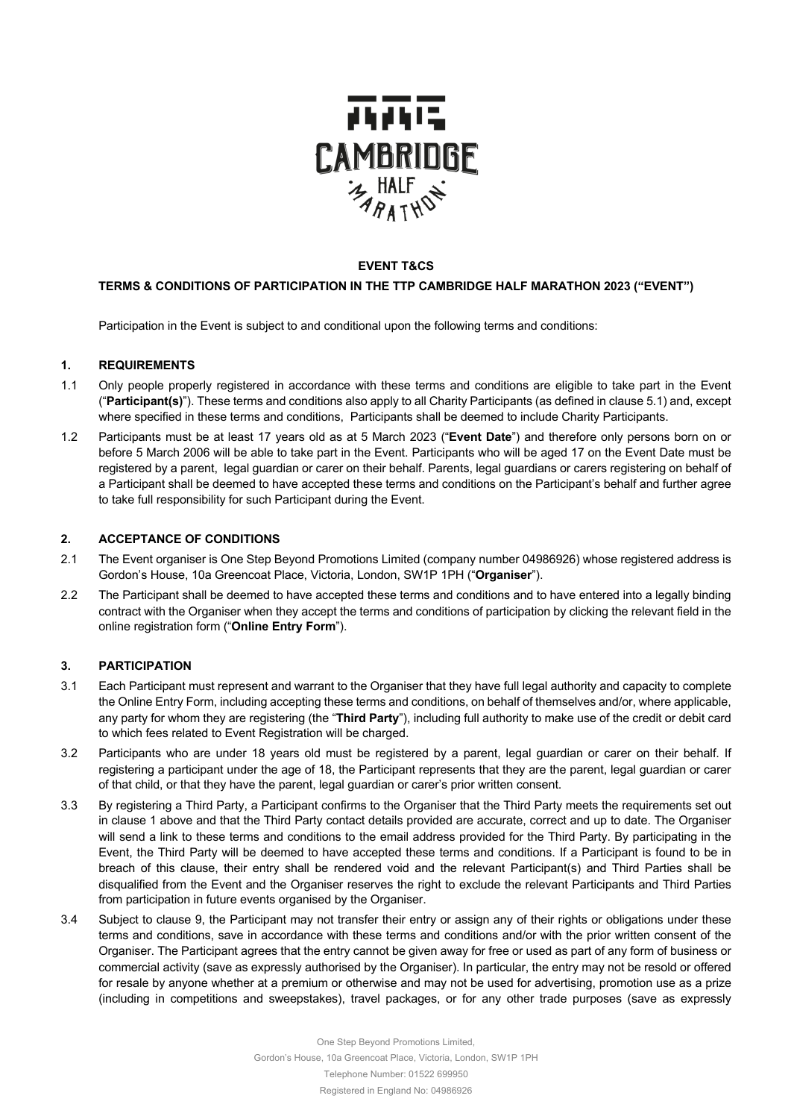

#### **EVENT T&CS**

## **TERMS & CONDITIONS OF PARTICIPATION IN THE TTP CAMBRIDGE HALF MARATHON 2023 ("EVENT")**

Participation in the Event is subject to and conditional upon the following terms and conditions:

#### **1. REQUIREMENTS**

- 1.1 Only people properly registered in accordance with these terms and conditions are eligible to take part in the Event ("**Participant(s)**"). These terms and conditions also apply to all Charity Participants (as defined in clause 5.1) and, except where specified in these terms and conditions, Participants shall be deemed to include Charity Participants.
- 1.2 Participants must be at least 17 years old as at 5 March 2023 ("**Event Date**") and therefore only persons born on or before 5 March 2006 will be able to take part in the Event. Participants who will be aged 17 on the Event Date must be registered by a parent, legal guardian or carer on their behalf. Parents, legal guardians or carers registering on behalf of a Participant shall be deemed to have accepted these terms and conditions on the Participant's behalf and further agree to take full responsibility for such Participant during the Event.

#### **2. ACCEPTANCE OF CONDITIONS**

- 2.1 The Event organiser is One Step Beyond Promotions Limited (company number 04986926) whose registered address is Gordon's House, 10a Greencoat Place, Victoria, London, SW1P 1PH ("**Organiser**").
- 2.2 The Participant shall be deemed to have accepted these terms and conditions and to have entered into a legally binding contract with the Organiser when they accept the terms and conditions of participation by clicking the relevant field in the online registration form ("**Online Entry Form**").

## **3. PARTICIPATION**

- 3.1 Each Participant must represent and warrant to the Organiser that they have full legal authority and capacity to complete the Online Entry Form, including accepting these terms and conditions, on behalf of themselves and/or, where applicable, any party for whom they are registering (the "**Third Party**"), including full authority to make use of the credit or debit card to which fees related to Event Registration will be charged.
- 3.2 Participants who are under 18 years old must be registered by a parent, legal guardian or carer on their behalf. If registering a participant under the age of 18, the Participant represents that they are the parent, legal guardian or carer of that child, or that they have the parent, legal guardian or carer's prior written consent.
- 3.3 By registering a Third Party, a Participant confirms to the Organiser that the Third Party meets the requirements set out in clause 1 above and that the Third Party contact details provided are accurate, correct and up to date. The Organiser will send a link to these terms and conditions to the email address provided for the Third Party. By participating in the Event, the Third Party will be deemed to have accepted these terms and conditions. If a Participant is found to be in breach of this clause, their entry shall be rendered void and the relevant Participant(s) and Third Parties shall be disqualified from the Event and the Organiser reserves the right to exclude the relevant Participants and Third Parties from participation in future events organised by the Organiser.
- 3.4 Subject to clause 9, the Participant may not transfer their entry or assign any of their rights or obligations under these terms and conditions, save in accordance with these terms and conditions and/or with the prior written consent of the Organiser. The Participant agrees that the entry cannot be given away for free or used as part of any form of business or commercial activity (save as expressly authorised by the Organiser). In particular, the entry may not be resold or offered for resale by anyone whether at a premium or otherwise and may not be used for advertising, promotion use as a prize (including in competitions and sweepstakes), travel packages, or for any other trade purposes (save as expressly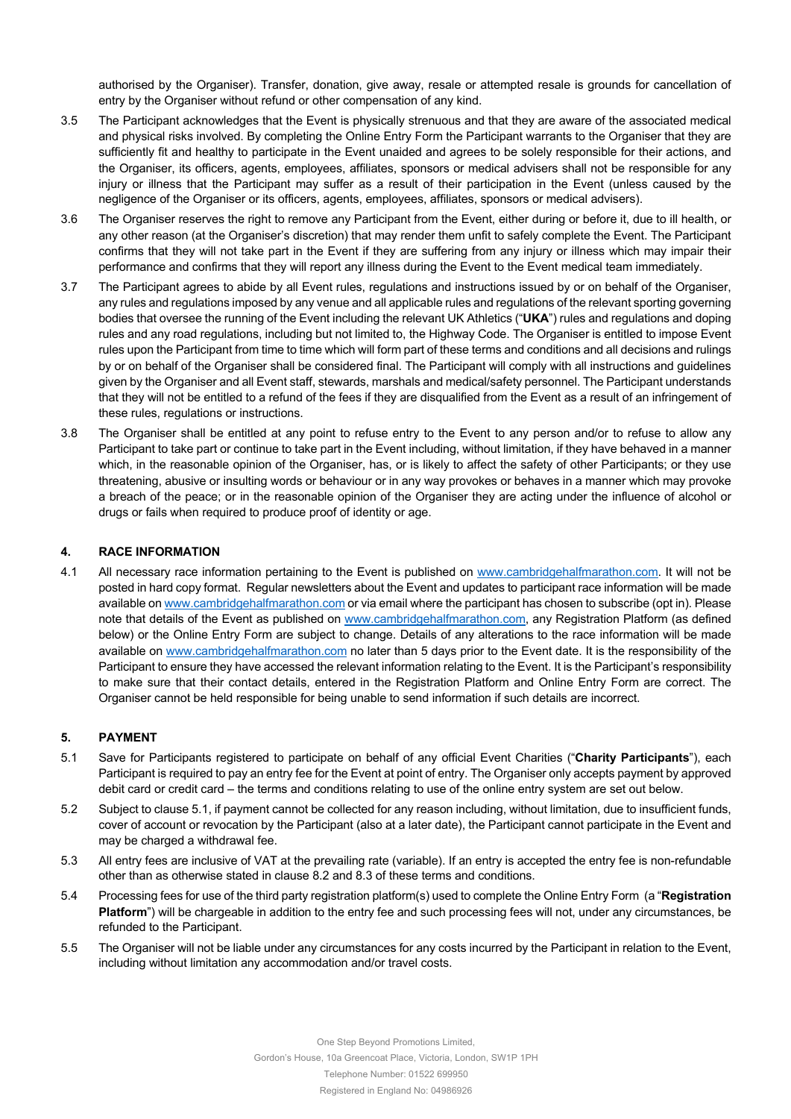authorised by the Organiser). Transfer, donation, give away, resale or attempted resale is grounds for cancellation of entry by the Organiser without refund or other compensation of any kind.

- 3.5 The Participant acknowledges that the Event is physically strenuous and that they are aware of the associated medical and physical risks involved. By completing the Online Entry Form the Participant warrants to the Organiser that they are sufficiently fit and healthy to participate in the Event unaided and agrees to be solely responsible for their actions, and the Organiser, its officers, agents, employees, affiliates, sponsors or medical advisers shall not be responsible for any injury or illness that the Participant may suffer as a result of their participation in the Event (unless caused by the negligence of the Organiser or its officers, agents, employees, affiliates, sponsors or medical advisers).
- 3.6 The Organiser reserves the right to remove any Participant from the Event, either during or before it, due to ill health, or any other reason (at the Organiser's discretion) that may render them unfit to safely complete the Event. The Participant confirms that they will not take part in the Event if they are suffering from any injury or illness which may impair their performance and confirms that they will report any illness during the Event to the Event medical team immediately.
- 3.7 The Participant agrees to abide by all Event rules, regulations and instructions issued by or on behalf of the Organiser, any rules and regulations imposed by any venue and all applicable rules and regulations of the relevant sporting governing bodies that oversee the running of the Event including the relevant UK Athletics ("**UKA**") rules and regulations and doping rules and any road regulations, including but not limited to, the Highway Code. The Organiser is entitled to impose Event rules upon the Participant from time to time which will form part of these terms and conditions and all decisions and rulings by or on behalf of the Organiser shall be considered final. The Participant will comply with all instructions and guidelines given by the Organiser and all Event staff, stewards, marshals and medical/safety personnel. The Participant understands that they will not be entitled to a refund of the fees if they are disqualified from the Event as a result of an infringement of these rules, regulations or instructions.
- 3.8 The Organiser shall be entitled at any point to refuse entry to the Event to any person and/or to refuse to allow any Participant to take part or continue to take part in the Event including, without limitation, if they have behaved in a manner which, in the reasonable opinion of the Organiser, has, or is likely to affect the safety of other Participants; or they use threatening, abusive or insulting words or behaviour or in any way provokes or behaves in a manner which may provoke a breach of the peace; or in the reasonable opinion of the Organiser they are acting under the influence of alcohol or drugs or fails when required to produce proof of identity or age.

## **4. RACE INFORMATION**

4.1 All necessary race information pertaining to the Event is published on www.cambridgehalfmarathon.com. It will not be posted in hard copy format. Regular newsletters about the Event and updates to participant race information will be made available on www.cambridgehalfmarathon.com or via email where the participant has chosen to subscribe (opt in). Please note that details of the Event as published on www.cambridgehalfmarathon.com, any Registration Platform (as defined below) or the Online Entry Form are subject to change. Details of any alterations to the race information will be made available on www.cambridgehalfmarathon.com no later than 5 days prior to the Event date. It is the responsibility of the Participant to ensure they have accessed the relevant information relating to the Event. It is the Participant's responsibility to make sure that their contact details, entered in the Registration Platform and Online Entry Form are correct. The Organiser cannot be held responsible for being unable to send information if such details are incorrect.

## **5. PAYMENT**

- 5.1 Save for Participants registered to participate on behalf of any official Event Charities ("**Charity Participants**"), each Participant is required to pay an entry fee for the Event at point of entry. The Organiser only accepts payment by approved debit card or credit card – the terms and conditions relating to use of the online entry system are set out below.
- 5.2 Subject to clause 5.1, if payment cannot be collected for any reason including, without limitation, due to insufficient funds, cover of account or revocation by the Participant (also at a later date), the Participant cannot participate in the Event and may be charged a withdrawal fee.
- 5.3 All entry fees are inclusive of VAT at the prevailing rate (variable). If an entry is accepted the entry fee is non-refundable other than as otherwise stated in clause 8.2 and 8.3 of these terms and conditions.
- 5.4 Processing fees for use of the third party registration platform(s) used to complete the Online Entry Form (a "**Registration Platform**") will be chargeable in addition to the entry fee and such processing fees will not, under any circumstances, be refunded to the Participant.
- 5.5 The Organiser will not be liable under any circumstances for any costs incurred by the Participant in relation to the Event, including without limitation any accommodation and/or travel costs.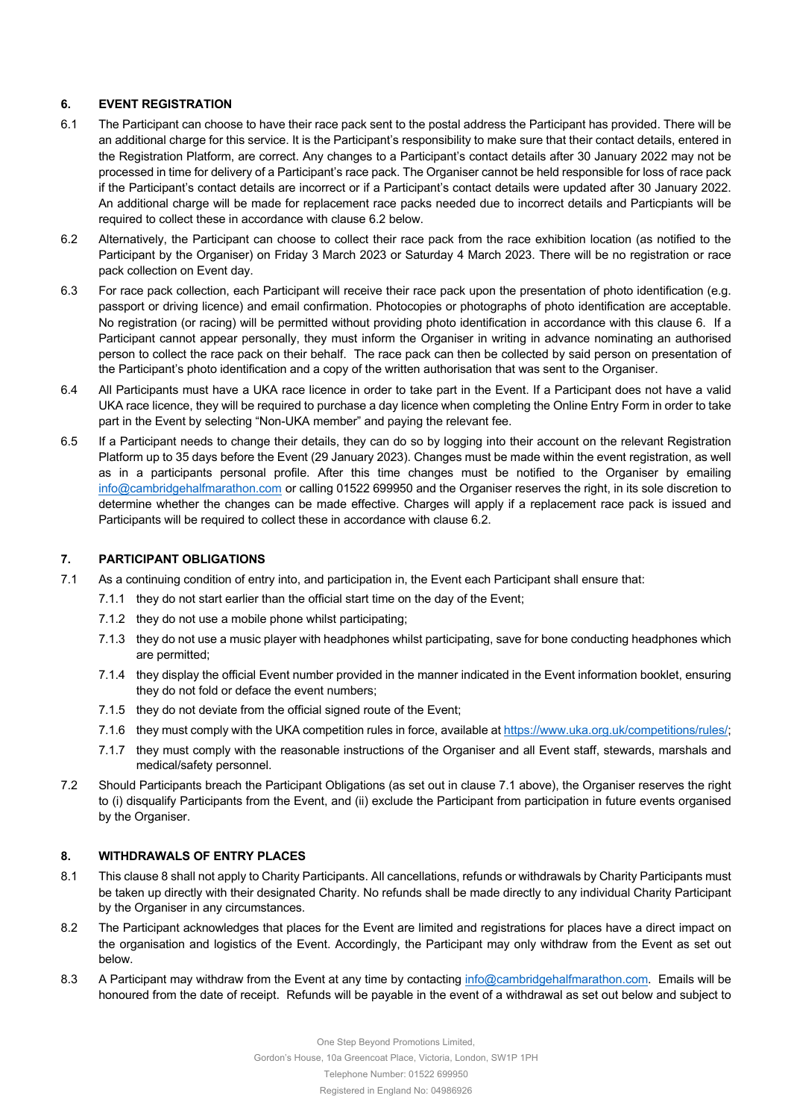# **6. EVENT REGISTRATION**

- 6.1 The Participant can choose to have their race pack sent to the postal address the Participant has provided. There will be an additional charge for this service. It is the Participant's responsibility to make sure that their contact details, entered in the Registration Platform, are correct. Any changes to a Participant's contact details after 30 January 2022 may not be processed in time for delivery of a Participant's race pack. The Organiser cannot be held responsible for loss of race pack if the Participant's contact details are incorrect or if a Participant's contact details were updated after 30 January 2022. An additional charge will be made for replacement race packs needed due to incorrect details and Particpiants will be required to collect these in accordance with clause 6.2 below.
- 6.2 Alternatively, the Participant can choose to collect their race pack from the race exhibition location (as notified to the Participant by the Organiser) on Friday 3 March 2023 or Saturday 4 March 2023. There will be no registration or race pack collection on Event day.
- 6.3 For race pack collection, each Participant will receive their race pack upon the presentation of photo identification (e.g. passport or driving licence) and email confirmation. Photocopies or photographs of photo identification are acceptable. No registration (or racing) will be permitted without providing photo identification in accordance with this clause 6. If a Participant cannot appear personally, they must inform the Organiser in writing in advance nominating an authorised person to collect the race pack on their behalf. The race pack can then be collected by said person on presentation of the Participant's photo identification and a copy of the written authorisation that was sent to the Organiser.
- 6.4 All Participants must have a UKA race licence in order to take part in the Event. If a Participant does not have a valid UKA race licence, they will be required to purchase a day licence when completing the Online Entry Form in order to take part in the Event by selecting "Non-UKA member" and paying the relevant fee.
- 6.5 If a Participant needs to change their details, they can do so by logging into their account on the relevant Registration Platform up to 35 days before the Event (29 January 2023). Changes must be made within the event registration, as well as in a participants personal profile. After this time changes must be notified to the Organiser by emailing info@cambridgehalfmarathon.com or calling 01522 699950 and the Organiser reserves the right, in its sole discretion to determine whether the changes can be made effective. Charges will apply if a replacement race pack is issued and Participants will be required to collect these in accordance with clause 6.2.

# **7. PARTICIPANT OBLIGATIONS**

- 7.1 As a continuing condition of entry into, and participation in, the Event each Participant shall ensure that:
	- 7.1.1 they do not start earlier than the official start time on the day of the Event;
	- 7.1.2 they do not use a mobile phone whilst participating;
	- 7.1.3 they do not use a music player with headphones whilst participating, save for bone conducting headphones which are permitted;
	- 7.1.4 they display the official Event number provided in the manner indicated in the Event information booklet, ensuring they do not fold or deface the event numbers;
	- 7.1.5 they do not deviate from the official signed route of the Event;
	- 7.1.6 they must comply with the UKA competition rules in force, available at https://www.uka.org.uk/competitions/rules/;
	- 7.1.7 they must comply with the reasonable instructions of the Organiser and all Event staff, stewards, marshals and medical/safety personnel.
- 7.2 Should Participants breach the Participant Obligations (as set out in clause 7.1 above), the Organiser reserves the right to (i) disqualify Participants from the Event, and (ii) exclude the Participant from participation in future events organised by the Organiser.

# **8. WITHDRAWALS OF ENTRY PLACES**

- 8.1 This clause 8 shall not apply to Charity Participants. All cancellations, refunds or withdrawals by Charity Participants must be taken up directly with their designated Charity. No refunds shall be made directly to any individual Charity Participant by the Organiser in any circumstances.
- 8.2 The Participant acknowledges that places for the Event are limited and registrations for places have a direct impact on the organisation and logistics of the Event. Accordingly, the Participant may only withdraw from the Event as set out below.
- 8.3 A Participant may withdraw from the Event at any time by contacting info@cambridgehalfmarathon.com. Emails will be honoured from the date of receipt. Refunds will be payable in the event of a withdrawal as set out below and subject to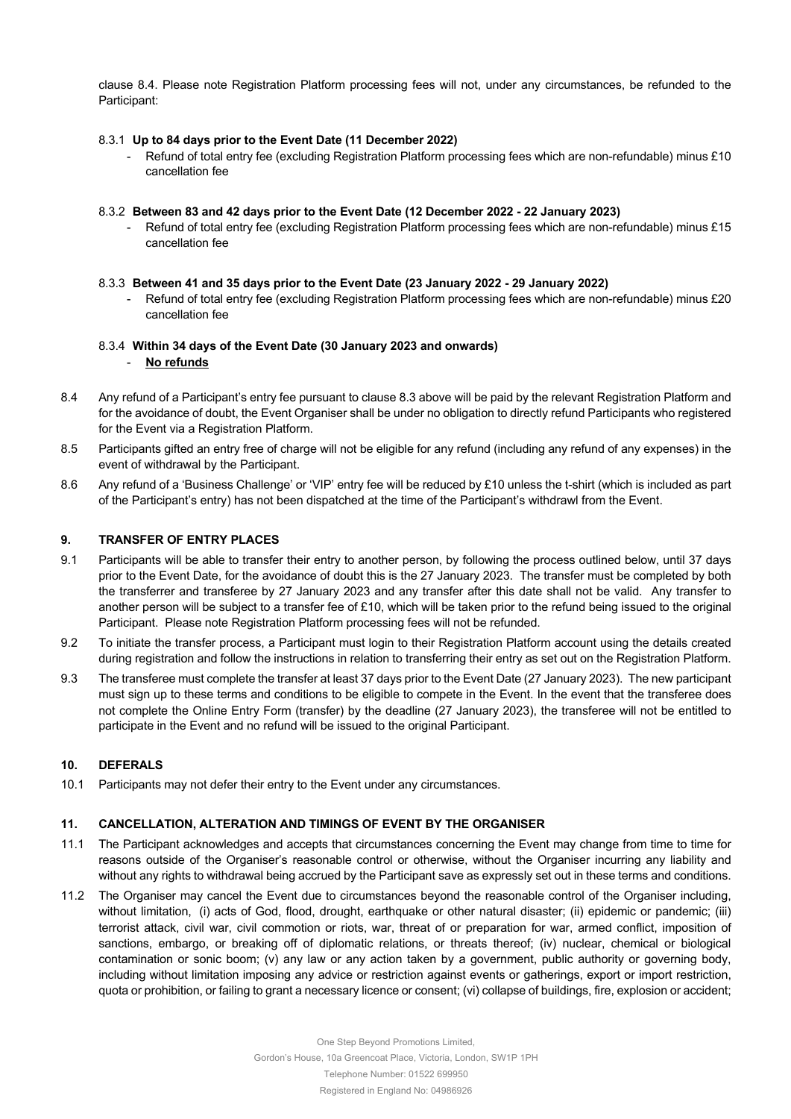clause 8.4. Please note Registration Platform processing fees will not, under any circumstances, be refunded to the Participant:

#### 8.3.1 **Up to 84 days prior to the Event Date (11 December 2022)**

- Refund of total entry fee (excluding Registration Platform processing fees which are non-refundable) minus £10 cancellation fee

#### 8.3.2 **Between 83 and 42 days prior to the Event Date (12 December 2022 - 22 January 2023)**

Refund of total entry fee (excluding Registration Platform processing fees which are non-refundable) minus £15 cancellation fee

#### 8.3.3 **Between 41 and 35 days prior to the Event Date (23 January 2022 - 29 January 2022)**

Refund of total entry fee (excluding Registration Platform processing fees which are non-refundable) minus £20 cancellation fee

## 8.3.4 **Within 34 days of the Event Date (30 January 2023 and onwards)**

#### - **No refunds**

- 8.4 Any refund of a Participant's entry fee pursuant to clause 8.3 above will be paid by the relevant Registration Platform and for the avoidance of doubt, the Event Organiser shall be under no obligation to directly refund Participants who registered for the Event via a Registration Platform.
- 8.5 Participants gifted an entry free of charge will not be eligible for any refund (including any refund of any expenses) in the event of withdrawal by the Participant.
- 8.6 Any refund of a 'Business Challenge' or 'VIP' entry fee will be reduced by £10 unless the t-shirt (which is included as part of the Participant's entry) has not been dispatched at the time of the Participant's withdrawl from the Event.

#### **9. TRANSFER OF ENTRY PLACES**

- 9.1 Participants will be able to transfer their entry to another person, by following the process outlined below, until 37 days prior to the Event Date, for the avoidance of doubt this is the 27 January 2023. The transfer must be completed by both the transferrer and transferee by 27 January 2023 and any transfer after this date shall not be valid. Any transfer to another person will be subject to a transfer fee of £10, which will be taken prior to the refund being issued to the original Participant. Please note Registration Platform processing fees will not be refunded.
- 9.2 To initiate the transfer process, a Participant must login to their Registration Platform account using the details created during registration and follow the instructions in relation to transferring their entry as set out on the Registration Platform.
- 9.3 The transferee must complete the transfer at least 37 days prior to the Event Date (27 January 2023). The new participant must sign up to these terms and conditions to be eligible to compete in the Event. In the event that the transferee does not complete the Online Entry Form (transfer) by the deadline (27 January 2023), the transferee will not be entitled to participate in the Event and no refund will be issued to the original Participant.

## **10. DEFERALS**

10.1 Participants may not defer their entry to the Event under any circumstances.

## **11. CANCELLATION, ALTERATION AND TIMINGS OF EVENT BY THE ORGANISER**

- 11.1 The Participant acknowledges and accepts that circumstances concerning the Event may change from time to time for reasons outside of the Organiser's reasonable control or otherwise, without the Organiser incurring any liability and without any rights to withdrawal being accrued by the Participant save as expressly set out in these terms and conditions.
- 11.2 The Organiser may cancel the Event due to circumstances beyond the reasonable control of the Organiser including, without limitation, (i) acts of God, flood, drought, earthquake or other natural disaster; (ii) epidemic or pandemic; (iii) terrorist attack, civil war, civil commotion or riots, war, threat of or preparation for war, armed conflict, imposition of sanctions, embargo, or breaking off of diplomatic relations, or threats thereof; (iv) nuclear, chemical or biological contamination or sonic boom; (v) any law or any action taken by a government, public authority or governing body, including without limitation imposing any advice or restriction against events or gatherings, export or import restriction, quota or prohibition, or failing to grant a necessary licence or consent; (vi) collapse of buildings, fire, explosion or accident;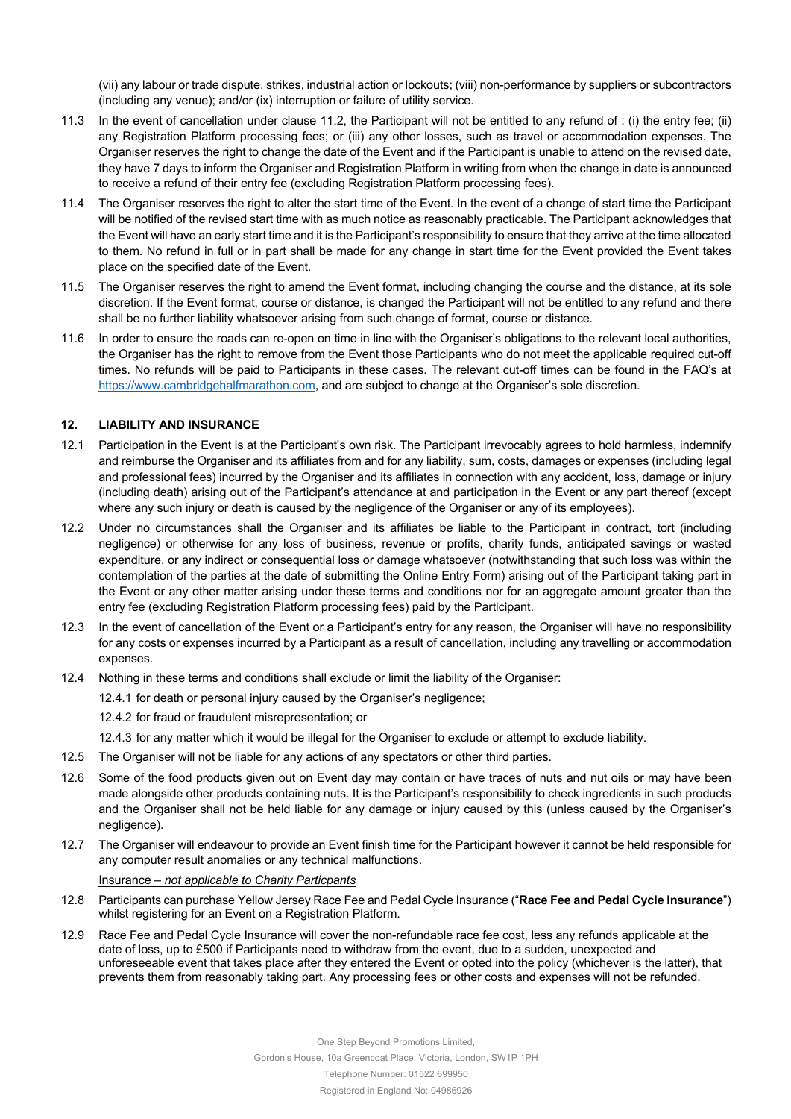(vii) any labour or trade dispute, strikes, industrial action or lockouts; (viii) non-performance by suppliers or subcontractors (including any venue); and/or (ix) interruption or failure of utility service.

- 11.3 In the event of cancellation under clause 11.2, the Participant will not be entitled to any refund of : (i) the entry fee; (ii) any Registration Platform processing fees; or (iii) any other losses, such as travel or accommodation expenses. The Organiser reserves the right to change the date of the Event and if the Participant is unable to attend on the revised date, they have 7 days to inform the Organiser and Registration Platform in writing from when the change in date is announced to receive a refund of their entry fee (excluding Registration Platform processing fees).
- 11.4 The Organiser reserves the right to alter the start time of the Event. In the event of a change of start time the Participant will be notified of the revised start time with as much notice as reasonably practicable. The Participant acknowledges that the Event will have an early start time and it is the Participant's responsibility to ensure that they arrive at the time allocated to them. No refund in full or in part shall be made for any change in start time for the Event provided the Event takes place on the specified date of the Event.
- 11.5 The Organiser reserves the right to amend the Event format, including changing the course and the distance, at its sole discretion. If the Event format, course or distance, is changed the Participant will not be entitled to any refund and there shall be no further liability whatsoever arising from such change of format, course or distance.
- 11.6 In order to ensure the roads can re-open on time in line with the Organiser's obligations to the relevant local authorities, the Organiser has the right to remove from the Event those Participants who do not meet the applicable required cut-off times. No refunds will be paid to Participants in these cases. The relevant cut-off times can be found in the FAQ's at https://www.cambridgehalfmarathon.com, and are subject to change at the Organiser's sole discretion.

## **12. LIABILITY AND INSURANCE**

- 12.1 Participation in the Event is at the Participant's own risk. The Participant irrevocably agrees to hold harmless, indemnify and reimburse the Organiser and its affiliates from and for any liability, sum, costs, damages or expenses (including legal and professional fees) incurred by the Organiser and its affiliates in connection with any accident, loss, damage or injury (including death) arising out of the Participant's attendance at and participation in the Event or any part thereof (except where any such injury or death is caused by the negligence of the Organiser or any of its employees).
- 12.2 Under no circumstances shall the Organiser and its affiliates be liable to the Participant in contract, tort (including negligence) or otherwise for any loss of business, revenue or profits, charity funds, anticipated savings or wasted expenditure, or any indirect or consequential loss or damage whatsoever (notwithstanding that such loss was within the contemplation of the parties at the date of submitting the Online Entry Form) arising out of the Participant taking part in the Event or any other matter arising under these terms and conditions nor for an aggregate amount greater than the entry fee (excluding Registration Platform processing fees) paid by the Participant.
- 12.3 In the event of cancellation of the Event or a Participant's entry for any reason, the Organiser will have no responsibility for any costs or expenses incurred by a Participant as a result of cancellation, including any travelling or accommodation expenses.
- 12.4 Nothing in these terms and conditions shall exclude or limit the liability of the Organiser:
	- 12.4.1 for death or personal injury caused by the Organiser's negligence;
	- 12.4.2 for fraud or fraudulent misrepresentation; or
	- 12.4.3 for any matter which it would be illegal for the Organiser to exclude or attempt to exclude liability.
- 12.5 The Organiser will not be liable for any actions of any spectators or other third parties.
- 12.6 Some of the food products given out on Event day may contain or have traces of nuts and nut oils or may have been made alongside other products containing nuts. It is the Participant's responsibility to check ingredients in such products and the Organiser shall not be held liable for any damage or injury caused by this (unless caused by the Organiser's negligence).
- 12.7 The Organiser will endeavour to provide an Event finish time for the Participant however it cannot be held responsible for any computer result anomalies or any technical malfunctions.

Insurance – *not applicable to Charity Particpants*

- 12.8 Participants can purchase Yellow Jersey Race Fee and Pedal Cycle Insurance ("**Race Fee and Pedal Cycle Insurance**") whilst registering for an Event on a Registration Platform.
- 12.9 Race Fee and Pedal Cycle Insurance will cover the non-refundable race fee cost, less any refunds applicable at the date of loss, up to £500 if Participants need to withdraw from the event, due to a sudden, unexpected and unforeseeable event that takes place after they entered the Event or opted into the policy (whichever is the latter), that prevents them from reasonably taking part. Any processing fees or other costs and expenses will not be refunded.

Gordon's House, 10a Greencoat Place, Victoria, London, SW1P 1PH

Telephone Number: 01522 699950

Registered in England No: 04986926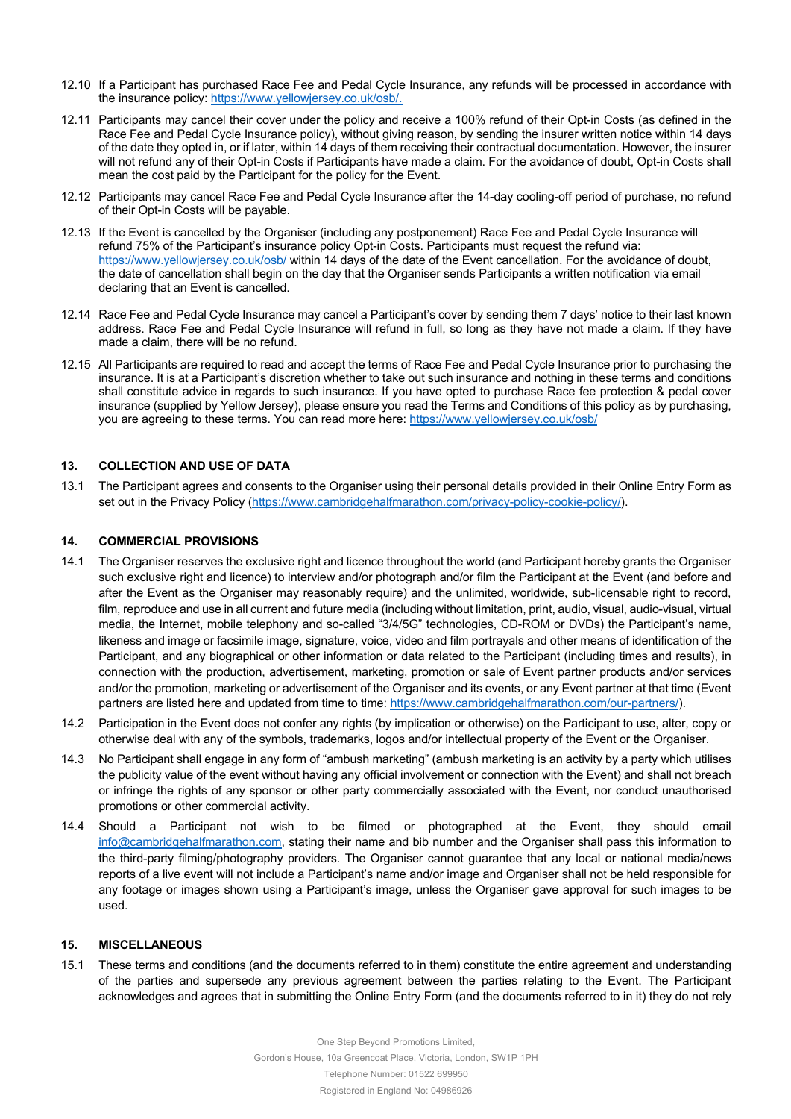- 12.10 If a Participant has purchased Race Fee and Pedal Cycle Insurance, any refunds will be processed in accordance with the insurance policy: https://www.yellowjersey.co.uk/osb/.
- 12.11 Participants may cancel their cover under the policy and receive a 100% refund of their Opt-in Costs (as defined in the Race Fee and Pedal Cycle Insurance policy), without giving reason, by sending the insurer written notice within 14 days of the date they opted in, or if later, within 14 days of them receiving their contractual documentation. However, the insurer will not refund any of their Opt-in Costs if Participants have made a claim. For the avoidance of doubt, Opt-in Costs shall mean the cost paid by the Participant for the policy for the Event.
- 12.12 Participants may cancel Race Fee and Pedal Cycle Insurance after the 14-day cooling-off period of purchase, no refund of their Opt-in Costs will be payable.
- 12.13 If the Event is cancelled by the Organiser (including any postponement) Race Fee and Pedal Cycle Insurance will refund 75% of the Participant's insurance policy Opt-in Costs. Participants must request the refund via: https://www.yellowjersey.co.uk/osb/ within 14 days of the date of the Event cancellation. For the avoidance of doubt, the date of cancellation shall begin on the day that the Organiser sends Participants a written notification via email declaring that an Event is cancelled.
- 12.14 Race Fee and Pedal Cycle Insurance may cancel a Participant's cover by sending them 7 days' notice to their last known address. Race Fee and Pedal Cycle Insurance will refund in full, so long as they have not made a claim. If they have made a claim, there will be no refund.
- 12.15 All Participants are required to read and accept the terms of Race Fee and Pedal Cycle Insurance prior to purchasing the insurance. It is at a Participant's discretion whether to take out such insurance and nothing in these terms and conditions shall constitute advice in regards to such insurance. If you have opted to purchase Race fee protection & pedal cover insurance (supplied by Yellow Jersey), please ensure you read the Terms and Conditions of this policy as by purchasing, you are agreeing to these terms. You can read more here: https://www.yellowjersey.co.uk/osb/

## **13. COLLECTION AND USE OF DATA**

13.1 The Participant agrees and consents to the Organiser using their personal details provided in their Online Entry Form as set out in the Privacy Policy (https://www.cambridgehalfmarathon.com/privacy-policy-cookie-policy/).

#### **14. COMMERCIAL PROVISIONS**

- 14.1 The Organiser reserves the exclusive right and licence throughout the world (and Participant hereby grants the Organiser such exclusive right and licence) to interview and/or photograph and/or film the Participant at the Event (and before and after the Event as the Organiser may reasonably require) and the unlimited, worldwide, sub-licensable right to record, film, reproduce and use in all current and future media (including without limitation, print, audio, visual, audio-visual, virtual media, the Internet, mobile telephony and so-called "3/4/5G" technologies, CD-ROM or DVDs) the Participant's name, likeness and image or facsimile image, signature, voice, video and film portrayals and other means of identification of the Participant, and any biographical or other information or data related to the Participant (including times and results), in connection with the production, advertisement, marketing, promotion or sale of Event partner products and/or services and/or the promotion, marketing or advertisement of the Organiser and its events, or any Event partner at that time (Event partners are listed here and updated from time to time: https://www.cambridgehalfmarathon.com/our-partners/).
- 14.2 Participation in the Event does not confer any rights (by implication or otherwise) on the Participant to use, alter, copy or otherwise deal with any of the symbols, trademarks, logos and/or intellectual property of the Event or the Organiser.
- 14.3 No Participant shall engage in any form of "ambush marketing" (ambush marketing is an activity by a party which utilises the publicity value of the event without having any official involvement or connection with the Event) and shall not breach or infringe the rights of any sponsor or other party commercially associated with the Event, nor conduct unauthorised promotions or other commercial activity.
- 14.4 Should a Participant not wish to be filmed or photographed at the Event, they should email info@cambridgehalfmarathon.com, stating their name and bib number and the Organiser shall pass this information to the third-party filming/photography providers. The Organiser cannot guarantee that any local or national media/news reports of a live event will not include a Participant's name and/or image and Organiser shall not be held responsible for any footage or images shown using a Participant's image, unless the Organiser gave approval for such images to be used.

## **15. MISCELLANEOUS**

15.1 These terms and conditions (and the documents referred to in them) constitute the entire agreement and understanding of the parties and supersede any previous agreement between the parties relating to the Event. The Participant acknowledges and agrees that in submitting the Online Entry Form (and the documents referred to in it) they do not rely